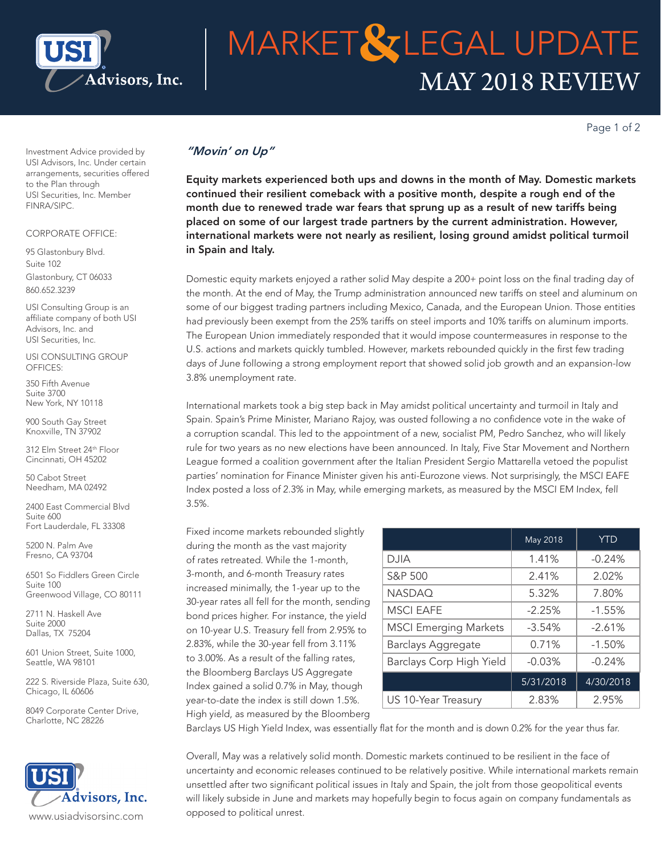

# MAY 2018 REVIEW **MARKET&LEGAL UPDATE**

Page 1 of 2

Investment Advice provided by USI Advisors, Inc. Under certain arrangements, securities offered to the Plan through USI Securities, Inc. Member FINRA/SIPC.

### CORPORATE OFFICE:

95 Glastonbury Blvd. Suite 102 Glastonbury, CT 06033 860.652.3239

USI Consulting Group is an affiliate company of both USI Advisors, Inc. and USI Securities, Inc.

USI CONSULTING GROUP OFFICES:

350 Fifth Avenue Suite 3700 New York, NY 10118

900 South Gay Street Knoxville, TN 37902

312 Elm Street 24th Floor Cincinnati, OH 45202

50 Cabot Street Needham, MA 02492

2400 East Commercial Blvd Suite 600 Fort Lauderdale, FL 33308

5200 N. Palm Ave Fresno, CA 93704

6501 So Fiddlers Green Circle Suite 100 Greenwood Village, CO 80111

2711 N. Haskell Ave Suite 2000 Dallas, TX 75204

601 Union Street, Suite 1000, Seattle, WA 98101

222 S. Riverside Plaza, Suite 630, Chicago, IL 60606

8049 Corporate Center Drive, Charlotte, NC 28226



## *"Movin' on Up"*

Equity markets experienced both ups and downs in the month of May. Domestic markets continued their resilient comeback with a positive month, despite a rough end of the month due to renewed trade war fears that sprung up as a result of new tariffs being placed on some of our largest trade partners by the current administration. However, international markets were not nearly as resilient, losing ground amidst political turmoil in Spain and Italy.

Domestic equity markets enjoyed a rather solid May despite a 200+ point loss on the final trading day of the month. At the end of May, the Trump administration announced new tariffs on steel and aluminum on some of our biggest trading partners including Mexico, Canada, and the European Union. Those entities had previously been exempt from the 25% tariffs on steel imports and 10% tariffs on aluminum imports. The European Union immediately responded that it would impose countermeasures in response to the U.S. actions and markets quickly tumbled. However, markets rebounded quickly in the first few trading days of June following a strong employment report that showed solid job growth and an expansion-low 3.8% unemployment rate.

International markets took a big step back in May amidst political uncertainty and turmoil in Italy and Spain. Spain's Prime Minister, Mariano Rajoy, was ousted following a no confidence vote in the wake of a corruption scandal. This led to the appointment of a new, socialist PM, Pedro Sanchez, who will likely rule for two years as no new elections have been announced. In Italy, Five Star Movement and Northern League formed a coalition government after the Italian President Sergio Mattarella vetoed the populist parties' nomination for Finance Minister given his anti-Eurozone views. Not surprisingly, the MSCI EAFE Index posted a loss of 2.3% in May, while emerging markets, as measured by the MSCI EM Index, fell 3.5%.

Fixed income markets rebounded slightly during the month as the vast majority of rates retreated. While the 1-month, 3-month, and 6-month Treasury rates increased minimally, the 1-year up to the 30-year rates all fell for the month, sending bond prices higher. For instance, the yield on 10-year U.S. Treasury fell from 2.95% to 2.83%, while the 30-year fell from 3.11% to 3.00%. As a result of the falling rates, the Bloomberg Barclays US Aggregate Index gained a solid 0.7% in May, though year-to-date the index is still down 1.5%. High yield, as measured by the Bloomberg

|                              | May 2018  | <b>YTD</b> |
|------------------------------|-----------|------------|
| DJIA                         | 1.41%     | $-0.24%$   |
| S&P 500                      | 2.41%     | 2.02%      |
| <b>NASDAQ</b>                | 5.32%     | 7.80%      |
| <b>MSCI EAFE</b>             | $-2.25%$  | $-1.55%$   |
| <b>MSCI Emerging Markets</b> | $-3.54%$  | $-2.61%$   |
| <b>Barclays Aggregate</b>    | 0.71%     | $-1.50%$   |
| Barclays Corp High Yield     | $-0.03%$  | $-0.24%$   |
|                              | 5/31/2018 | 4/30/2018  |
| US 10-Year Treasury          | 2.83%     | 2.95%      |

Barclays US High Yield Index, was essentially flat for the month and is down 0.2% for the year thus far.

Overall, May was a relatively solid month. Domestic markets continued to be resilient in the face of uncertainty and economic releases continued to be relatively positive. While international markets remain unsettled after two significant political issues in Italy and Spain, the jolt from those geopolitical events will likely subside in June and markets may hopefully begin to focus again on company fundamentals as opposed to political unrest.